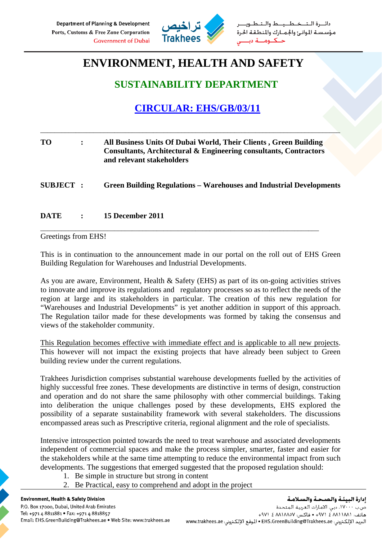

طــيــط والــتـ مؤسسة الموانئ والجمارك والمنطقة الحرة

# **ENVIRONMENT, HEALTH AND SAFETY**

### **SUSTAINABILITY DEPARTMENT**

## **CIRCULAR: EHS/GB/03/11**

| TО               | All Business Units Of Dubai World, Their Clients, Green Building<br>Consultants, Architectural & Engineering consultants, Contractors<br>and relevant stakeholders |
|------------------|--------------------------------------------------------------------------------------------------------------------------------------------------------------------|
| <b>SUBJECT :</b> | <b>Green Building Regulations – Warehouses and Industrial Developments</b>                                                                                         |
|                  |                                                                                                                                                                    |

\_\_\_\_\_\_\_\_\_\_\_\_\_\_\_\_\_\_\_\_\_\_\_\_\_\_\_\_\_\_\_\_\_\_\_\_\_\_\_\_\_\_\_\_\_\_\_\_\_\_\_\_\_\_\_\_\_\_\_\_\_\_\_\_\_\_\_\_\_\_\_\_\_\_\_\_\_\_\_\_\_\_\_\_\_

#### **DATE : 15 December 2011**  \_\_\_\_\_\_\_\_\_\_\_\_\_\_\_\_\_\_\_\_\_\_\_\_\_\_\_\_\_\_\_\_\_\_\_\_\_\_\_\_\_\_\_\_\_\_\_\_\_\_\_\_\_\_\_\_\_\_\_\_\_\_\_\_\_\_\_\_\_\_\_\_\_\_\_\_\_\_\_

Greetings from EHS!

This is in continuation to the announcement made in our portal on the roll out of EHS Green Building Regulation for Warehouses and Industrial Developments.

As you are aware, Environment, Health & Safety (EHS) as part of its on-going activities strives to innovate and improve its regulations and regulatory processes so as to reflect the needs of the region at large and its stakeholders in particular. The creation of this new regulation for "Warehouses and Industrial Developments" is yet another addition in support of this approach. The Regulation tailor made for these developments was formed by taking the consensus and views of the stakeholder community.

This Regulation becomes effective with immediate effect and is applicable to all new projects. This however will not impact the existing projects that have already been subject to Green building review under the current regulations.

Trakhees Jurisdiction comprises substantial warehouse developments fuelled by the activities of highly successful free zones. These developments are distinctive in terms of design, construction and operation and do not share the same philosophy with other commercial buildings. Taking into deliberation the unique challenges posed by these developments, EHS explored the possibility of a separate sustainability framework with several stakeholders. The discussions encompassed areas such as Prescriptive criteria, regional alignment and the role of specialists.

Intensive introspection pointed towards the need to treat warehouse and associated developments independent of commercial spaces and make the process simpler, smarter, faster and easier for the stakeholders while at the same time attempting to reduce the environmental impact from such developments. The suggestions that emerged suggested that the proposed regulation should:

- 1. Be simple in structure but strong in content
- 2. Be Practical, easy to comprehend and adopt in the project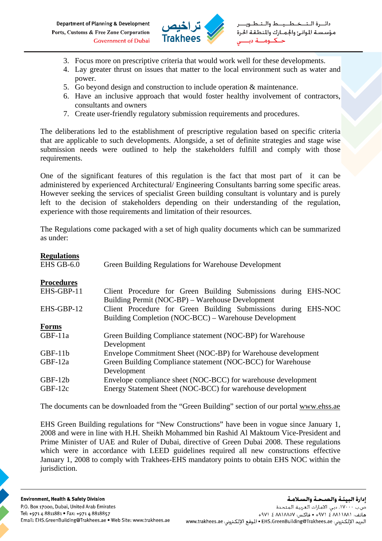Department of Planning & Development Ports, Customs & Free Zone Corporation **Government of Dubai** 



- 3. Focus more on prescriptive criteria that would work well for these developments.
- 4. Lay greater thrust on issues that matter to the local environment such as water and power.
- 5. Go beyond design and construction to include operation & maintenance.
- 6. Have an inclusive approach that would foster healthy involvement of contractors, consultants and owners
- 7. Create user-friendly regulatory submission requirements and procedures.

The deliberations led to the establishment of prescriptive regulation based on specific criteria that are applicable to such developments. Alongside, a set of definite strategies and stage wise submission needs were outlined to help the stakeholders fulfill and comply with those requirements.

One of the significant features of this regulation is the fact that most part of it can be administered by experienced Architectural/ Engineering Consultants barring some specific areas. However seeking the services of specialist Green building consultant is voluntary and is purely left to the decision of stakeholders depending on their understanding of the regulation, experience with those requirements and limitation of their resources.

The Regulations come packaged with a set of high quality documents which can be summarized as under:

| <b>Regulations</b><br>EHS GB-6.0 | Green Building Regulations for Warehouse Development           |
|----------------------------------|----------------------------------------------------------------|
| <b>Procedures</b>                |                                                                |
| EHS-GBP-11                       | Client Procedure for Green Building Submissions during EHS-NOC |
|                                  | Building Permit (NOC-BP) – Warehouse Development               |
| EHS-GBP-12                       | Client Procedure for Green Building Submissions during EHS-NOC |
|                                  | Building Completion (NOC-BCC) – Warehouse Development          |
| <b>Forms</b>                     |                                                                |
| GBF-11a                          | Green Building Compliance statement (NOC-BP) for Warehouse     |
|                                  | Development                                                    |
| $GBF-11b$                        | Envelope Commitment Sheet (NOC-BP) for Warehouse development   |
| $GBF-12a$                        | Green Building Compliance statement (NOC-BCC) for Warehouse    |
|                                  | Development                                                    |
| $GBF-12b$                        | Envelope compliance sheet (NOC-BCC) for warehouse development  |
| $GBF-12c$                        | Energy Statement Sheet (NOC-BCC) for warehouse development     |

The documents can be downloaded from the "Green Building" section of our portal www.ehss.ae

EHS Green Building regulations for "New Constructions" have been in vogue since January 1, 2008 and were in line with H.H. Sheikh Mohammed bin Rashid Al Maktoum Vice-President and Prime Minister of UAE and Ruler of Dubai, directive of Green Dubai 2008. These regulations which were in accordance with LEED guidelines required all new constructions effective January 1, 2008 to comply with Trakhees-EHS mandatory points to obtain EHS NOC within the jurisdiction.